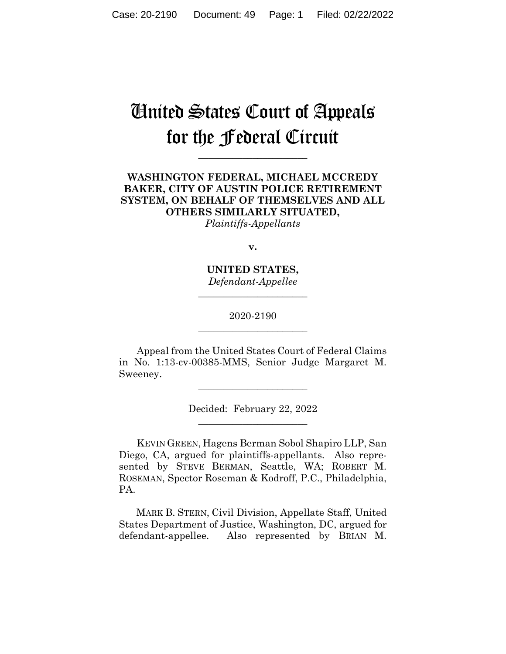# United States Court of Appeals for the Federal Circuit

**\_\_\_\_\_\_\_\_\_\_\_\_\_\_\_\_\_\_\_\_\_\_** 

# **WASHINGTON FEDERAL, MICHAEL MCCREDY BAKER, CITY OF AUSTIN POLICE RETIREMENT SYSTEM, ON BEHALF OF THEMSELVES AND ALL OTHERS SIMILARLY SITUATED,** *Plaintiffs-Appellants*

**v.**

**UNITED STATES,** *Defendant-Appellee*

**\_\_\_\_\_\_\_\_\_\_\_\_\_\_\_\_\_\_\_\_\_\_** 

## 2020-2190 **\_\_\_\_\_\_\_\_\_\_\_\_\_\_\_\_\_\_\_\_\_\_**

Appeal from the United States Court of Federal Claims in No. 1:13-cv-00385-MMS, Senior Judge Margaret M. Sweeney.

 $\overline{\phantom{a}}$  , where  $\overline{\phantom{a}}$  , where  $\overline{\phantom{a}}$  , where  $\overline{\phantom{a}}$ 

Decided: February 22, 2022  $\overline{\phantom{a}}$  , where  $\overline{\phantom{a}}$  , where  $\overline{\phantom{a}}$  , where  $\overline{\phantom{a}}$ 

KEVIN GREEN, Hagens Berman Sobol Shapiro LLP, San Diego, CA, argued for plaintiffs-appellants. Also represented by STEVE BERMAN, Seattle, WA; ROBERT M. ROSEMAN, Spector Roseman & Kodroff, P.C., Philadelphia, PA.

 MARK B. STERN, Civil Division, Appellate Staff, United States Department of Justice, Washington, DC, argued for defendant-appellee. Also represented by BRIAN M.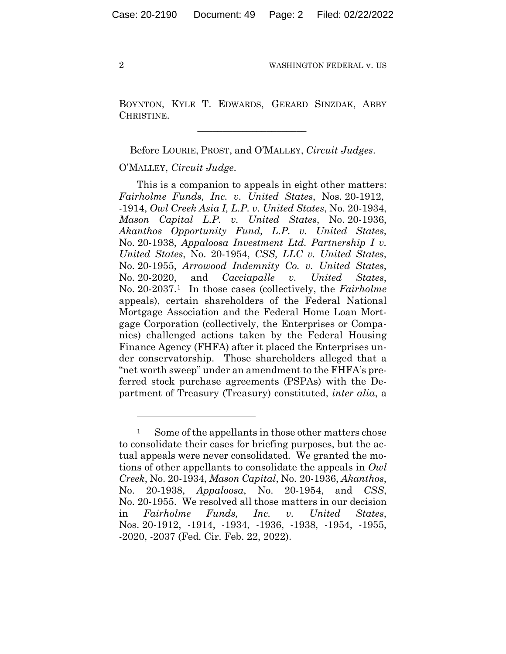BOYNTON, KYLE T. EDWARDS, GERARD SINZDAK, ABBY CHRISTINE.

 $\mathcal{L}_\text{max}$  and  $\mathcal{L}_\text{max}$  and  $\mathcal{L}_\text{max}$  and  $\mathcal{L}_\text{max}$ 

Before LOURIE, PROST, and O'MALLEY, *Circuit Judges*.

## O'MALLEY, *Circuit Judge*.

This is a companion to appeals in eight other matters: *Fairholme Funds, Inc. v. United States*, Nos. 20-1912, -1914, *Owl Creek Asia I, L.P. v. United States*, No. 20-1934, *Mason Capital L.P. v. United States*, No. 20-1936, *Akanthos Opportunity Fund, L.P. v. United States*, No. 20-1938, *Appaloosa Investment Ltd. Partnership I v. United States*, No. 20-1954, *CSS, LLC v. United States*, No. 20-1955, *Arrowood Indemnity Co. v. United States*, No. 20-2020, and *Cacciapalle v. United States*, No. 20-2037.1 In those cases (collectively, the *Fairholme* appeals), certain shareholders of the Federal National Mortgage Association and the Federal Home Loan Mortgage Corporation (collectively, the Enterprises or Companies) challenged actions taken by the Federal Housing Finance Agency (FHFA) after it placed the Enterprises under conservatorship. Those shareholders alleged that a "net worth sweep" under an amendment to the FHFA's preferred stock purchase agreements (PSPAs) with the Department of Treasury (Treasury) constituted, *inter alia*, a

<sup>&</sup>lt;sup>1</sup> Some of the appellants in those other matters chose to consolidate their cases for briefing purposes, but the actual appeals were never consolidated. We granted the motions of other appellants to consolidate the appeals in *Owl Creek*, No. 20-1934, *Mason Capital*, No. 20-1936, *Akanthos*, No. 20-1938, *Appaloosa*, No. 20-1954, and *CSS*, No. 20-1955. We resolved all those matters in our decision in *Fairholme Funds, Inc. v. United States*, Nos. 20-1912, -1914, -1934, -1936, -1938, -1954, -1955, -2020, -2037 (Fed. Cir. Feb. 22, 2022).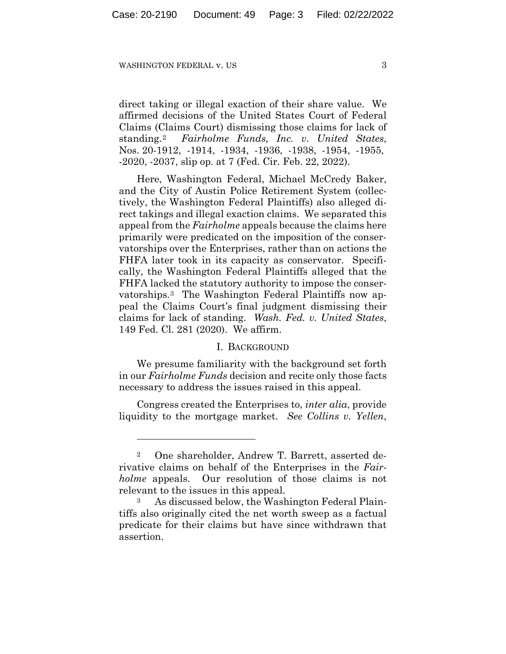direct taking or illegal exaction of their share value. We affirmed decisions of the United States Court of Federal Claims (Claims Court) dismissing those claims for lack of standing.2 *Fairholme Funds, Inc. v. United States*, Nos. 20-1912, -1914, -1934, -1936, -1938, -1954, -1955, -2020, -2037, slip op. at 7 (Fed. Cir. Feb. 22, 2022).

Here, Washington Federal, Michael McCredy Baker, and the City of Austin Police Retirement System (collectively, the Washington Federal Plaintiffs) also alleged direct takings and illegal exaction claims. We separated this appeal from the *Fairholme* appeals because the claims here primarily were predicated on the imposition of the conservatorships over the Enterprises, rather than on actions the FHFA later took in its capacity as conservator. Specifically, the Washington Federal Plaintiffs alleged that the FHFA lacked the statutory authority to impose the conservatorships.3 The Washington Federal Plaintiffs now appeal the Claims Court's final judgment dismissing their claims for lack of standing. *Wash. Fed. v. United States*, 149 Fed. Cl. 281 (2020). We affirm.

#### I. BACKGROUND

We presume familiarity with the background set forth in our *Fairholme Funds* decision and recite only those facts necessary to address the issues raised in this appeal.

Congress created the Enterprises to, *inter alia*, provide liquidity to the mortgage market. *See Collins v. Yellen*,

<sup>2</sup> One shareholder, Andrew T. Barrett, asserted derivative claims on behalf of the Enterprises in the *Fairholme* appeals. Our resolution of those claims is not relevant to the issues in this appeal.

As discussed below, the Washington Federal Plaintiffs also originally cited the net worth sweep as a factual predicate for their claims but have since withdrawn that assertion.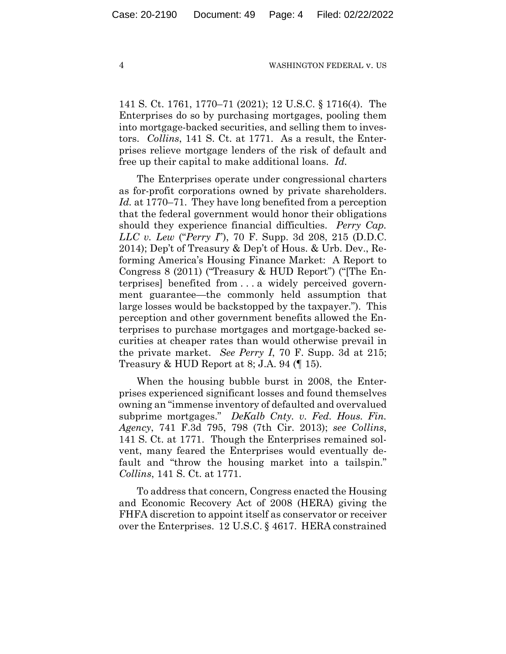141 S. Ct. 1761, 1770–71 (2021); 12 U.S.C. § 1716(4). The Enterprises do so by purchasing mortgages, pooling them into mortgage-backed securities, and selling them to investors. *Collins*, 141 S. Ct. at 1771. As a result, the Enterprises relieve mortgage lenders of the risk of default and free up their capital to make additional loans. *Id.*

The Enterprises operate under congressional charters as for-profit corporations owned by private shareholders. *Id.* at 1770–71. They have long benefited from a perception that the federal government would honor their obligations should they experience financial difficulties. *Perry Cap. LLC v. Lew* ("*Perry I*"), 70 F. Supp. 3d 208, 215 (D.D.C. 2014); Dep't of Treasury & Dep't of Hous. & Urb. Dev., Reforming America's Housing Finance Market: A Report to Congress 8 (2011) ("Treasury & HUD Report") ("[The Enterprises] benefited from . . . a widely perceived government guarantee—the commonly held assumption that large losses would be backstopped by the taxpayer."). This perception and other government benefits allowed the Enterprises to purchase mortgages and mortgage-backed securities at cheaper rates than would otherwise prevail in the private market. *See Perry I*, 70 F. Supp. 3d at 215; Treasury & HUD Report at 8; J.A. 94  $($  $\parallel$  15).

When the housing bubble burst in 2008, the Enterprises experienced significant losses and found themselves owning an "immense inventory of defaulted and overvalued subprime mortgages." *DeKalb Cnty. v. Fed. Hous. Fin. Agency*, 741 F.3d 795, 798 (7th Cir. 2013); *see Collins*, 141 S. Ct. at 1771. Though the Enterprises remained solvent, many feared the Enterprises would eventually default and "throw the housing market into a tailspin." *Collins*, 141 S. Ct. at 1771.

To address that concern, Congress enacted the Housing and Economic Recovery Act of 2008 (HERA) giving the FHFA discretion to appoint itself as conservator or receiver over the Enterprises. 12 U.S.C. § 4617. HERA constrained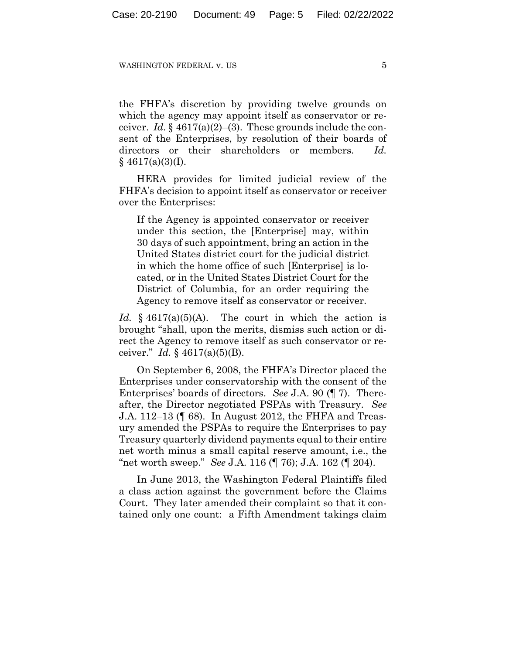the FHFA's discretion by providing twelve grounds on which the agency may appoint itself as conservator or receiver. *Id.* § 4617(a)(2)–(3). These grounds include the consent of the Enterprises, by resolution of their boards of directors or their shareholders or members. *Id.*  $§$  4617(a)(3)(I).

HERA provides for limited judicial review of the FHFA's decision to appoint itself as conservator or receiver over the Enterprises:

If the Agency is appointed conservator or receiver under this section, the [Enterprise] may, within 30 days of such appointment, bring an action in the United States district court for the judicial district in which the home office of such [Enterprise] is located, or in the United States District Court for the District of Columbia, for an order requiring the Agency to remove itself as conservator or receiver.

*Id.* § 4617(a)(5)(A). The court in which the action is brought "shall, upon the merits, dismiss such action or direct the Agency to remove itself as such conservator or receiver." *Id.* § 4617(a)(5)(B).

On September 6, 2008, the FHFA's Director placed the Enterprises under conservatorship with the consent of the Enterprises' boards of directors. *See* J.A. 90 (¶ 7). Thereafter, the Director negotiated PSPAs with Treasury. *See* J.A. 112–13 (¶ 68). In August 2012, the FHFA and Treasury amended the PSPAs to require the Enterprises to pay Treasury quarterly dividend payments equal to their entire net worth minus a small capital reserve amount, i.e., the "net worth sweep." *See* J.A. 116 (¶ 76); J.A. 162 (¶ 204).

In June 2013, the Washington Federal Plaintiffs filed a class action against the government before the Claims Court. They later amended their complaint so that it contained only one count: a Fifth Amendment takings claim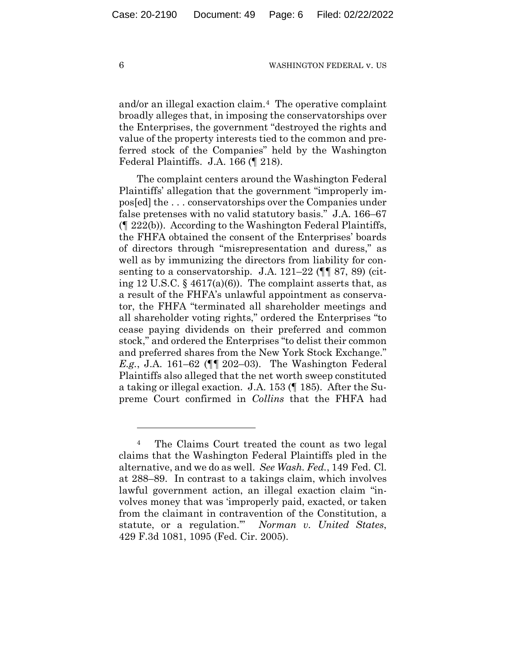and/or an illegal exaction claim.4 The operative complaint broadly alleges that, in imposing the conservatorships over the Enterprises, the government "destroyed the rights and value of the property interests tied to the common and preferred stock of the Companies" held by the Washington Federal Plaintiffs. J.A. 166 (¶ 218).

The complaint centers around the Washington Federal Plaintiffs' allegation that the government "improperly impos[ed] the . . . conservatorships over the Companies under false pretenses with no valid statutory basis." J.A. 166–67 (¶ 222(b)). According to the Washington Federal Plaintiffs, the FHFA obtained the consent of the Enterprises' boards of directors through "misrepresentation and duress," as well as by immunizing the directors from liability for consenting to a conservatorship. J.A. 121-22 ( $\P$  87, 89) (citing 12 U.S.C.  $\S$  4617(a)(6)). The complaint asserts that, as a result of the FHFA's unlawful appointment as conservator, the FHFA "terminated all shareholder meetings and all shareholder voting rights," ordered the Enterprises "to cease paying dividends on their preferred and common stock," and ordered the Enterprises "to delist their common and preferred shares from the New York Stock Exchange." *E.g.*, J.A. 161–62 (¶¶ 202–03). The Washington Federal Plaintiffs also alleged that the net worth sweep constituted a taking or illegal exaction. J.A. 153 (¶ 185). After the Supreme Court confirmed in *Collins* that the FHFA had

<sup>4</sup> The Claims Court treated the count as two legal claims that the Washington Federal Plaintiffs pled in the alternative, and we do as well. *See Wash. Fed.*, 149 Fed. Cl. at 288–89. In contrast to a takings claim, which involves lawful government action, an illegal exaction claim "involves money that was 'improperly paid, exacted, or taken from the claimant in contravention of the Constitution, a statute, or a regulation.'" *Norman v. United States*, 429 F.3d 1081, 1095 (Fed. Cir. 2005).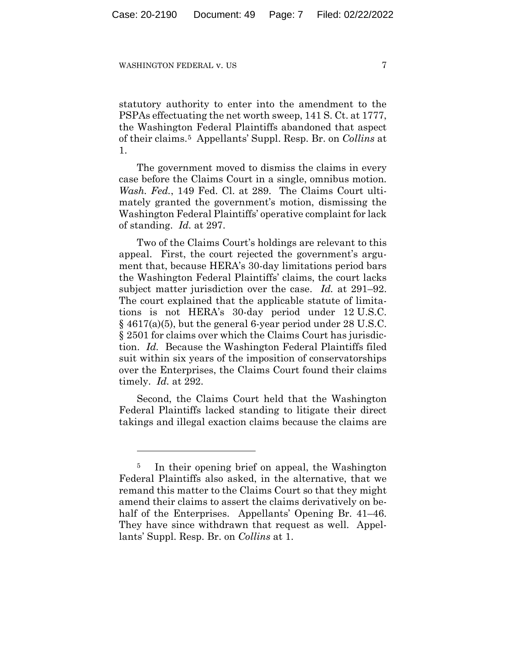statutory authority to enter into the amendment to the PSPAs effectuating the net worth sweep, 141 S. Ct. at 1777, the Washington Federal Plaintiffs abandoned that aspect of their claims.5 Appellants' Suppl. Resp. Br. on *Collins* at 1.

The government moved to dismiss the claims in every case before the Claims Court in a single, omnibus motion. *Wash. Fed.*, 149 Fed. Cl. at 289. The Claims Court ultimately granted the government's motion, dismissing the Washington Federal Plaintiffs' operative complaint for lack of standing. *Id.* at 297.

Two of the Claims Court's holdings are relevant to this appeal. First, the court rejected the government's argument that, because HERA's 30-day limitations period bars the Washington Federal Plaintiffs' claims, the court lacks subject matter jurisdiction over the case. *Id.* at 291–92. The court explained that the applicable statute of limitations is not HERA's 30-day period under 12 U.S.C.  $\S$  4617(a)(5), but the general 6-year period under 28 U.S.C. § 2501 for claims over which the Claims Court has jurisdiction. *Id.* Because the Washington Federal Plaintiffs filed suit within six years of the imposition of conservatorships over the Enterprises, the Claims Court found their claims timely. *Id.* at 292.

Second, the Claims Court held that the Washington Federal Plaintiffs lacked standing to litigate their direct takings and illegal exaction claims because the claims are

<sup>&</sup>lt;sup>5</sup> In their opening brief on appeal, the Washington Federal Plaintiffs also asked, in the alternative, that we remand this matter to the Claims Court so that they might amend their claims to assert the claims derivatively on behalf of the Enterprises. Appellants' Opening Br. 41–46. They have since withdrawn that request as well. Appellants' Suppl. Resp. Br. on *Collins* at 1.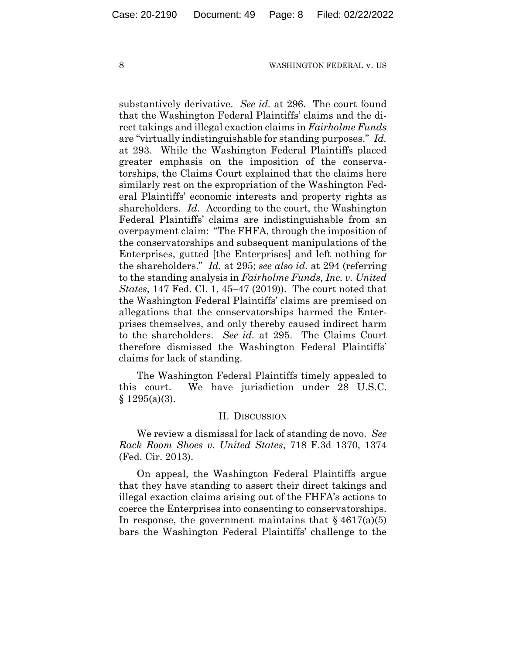substantively derivative. *See id.* at 296. The court found that the Washington Federal Plaintiffs' claims and the direct takings and illegal exaction claims in *Fairholme Funds* are "virtually indistinguishable for standing purposes." *Id.* at 293. While the Washington Federal Plaintiffs placed greater emphasis on the imposition of the conservatorships, the Claims Court explained that the claims here similarly rest on the expropriation of the Washington Federal Plaintiffs' economic interests and property rights as shareholders. *Id.* According to the court, the Washington Federal Plaintiffs' claims are indistinguishable from an overpayment claim: "The FHFA, through the imposition of the conservatorships and subsequent manipulations of the Enterprises, gutted [the Enterprises] and left nothing for the shareholders." *Id.* at 295; *see also id.* at 294 (referring to the standing analysis in *Fairholme Funds, Inc. v. United States*, 147 Fed. Cl. 1, 45–47 (2019)). The court noted that the Washington Federal Plaintiffs' claims are premised on allegations that the conservatorships harmed the Enterprises themselves, and only thereby caused indirect harm to the shareholders. *See id.* at 295. The Claims Court therefore dismissed the Washington Federal Plaintiffs' claims for lack of standing.

The Washington Federal Plaintiffs timely appealed to this court. We have jurisdiction under 28 U.S.C.  $§ 1295(a)(3).$ 

#### II. DISCUSSION

We review a dismissal for lack of standing de novo. *See Rack Room Shoes v. United States*, 718 F.3d 1370, 1374 (Fed. Cir. 2013).

On appeal, the Washington Federal Plaintiffs argue that they have standing to assert their direct takings and illegal exaction claims arising out of the FHFA's actions to coerce the Enterprises into consenting to conservatorships. In response, the government maintains that  $\S$  4617(a)(5) bars the Washington Federal Plaintiffs' challenge to the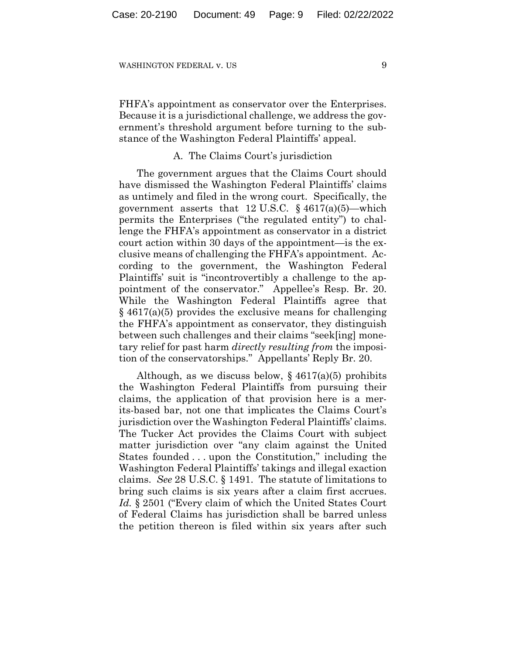FHFA's appointment as conservator over the Enterprises. Because it is a jurisdictional challenge, we address the government's threshold argument before turning to the substance of the Washington Federal Plaintiffs' appeal.

## A. The Claims Court's jurisdiction

The government argues that the Claims Court should have dismissed the Washington Federal Plaintiffs' claims as untimely and filed in the wrong court. Specifically, the government asserts that  $12 \text{ U.S.C.}$  §  $4617(a)(5)$ —which permits the Enterprises ("the regulated entity") to challenge the FHFA's appointment as conservator in a district court action within 30 days of the appointment—is the exclusive means of challenging the FHFA's appointment. According to the government, the Washington Federal Plaintiffs' suit is "incontrovertibly a challenge to the appointment of the conservator." Appellee's Resp. Br. 20. While the Washington Federal Plaintiffs agree that  $§$  4617(a)(5) provides the exclusive means for challenging the FHFA's appointment as conservator, they distinguish between such challenges and their claims "seek[ing] monetary relief for past harm *directly resulting from* the imposition of the conservatorships." Appellants' Reply Br. 20.

Although, as we discuss below,  $\S 4617(a)(5)$  prohibits the Washington Federal Plaintiffs from pursuing their claims, the application of that provision here is a merits-based bar, not one that implicates the Claims Court's jurisdiction over the Washington Federal Plaintiffs' claims. The Tucker Act provides the Claims Court with subject matter jurisdiction over "any claim against the United States founded . . . upon the Constitution," including the Washington Federal Plaintiffs' takings and illegal exaction claims. *See* 28 U.S.C. § 1491. The statute of limitations to bring such claims is six years after a claim first accrues. *Id.* § 2501 ("Every claim of which the United States Court of Federal Claims has jurisdiction shall be barred unless the petition thereon is filed within six years after such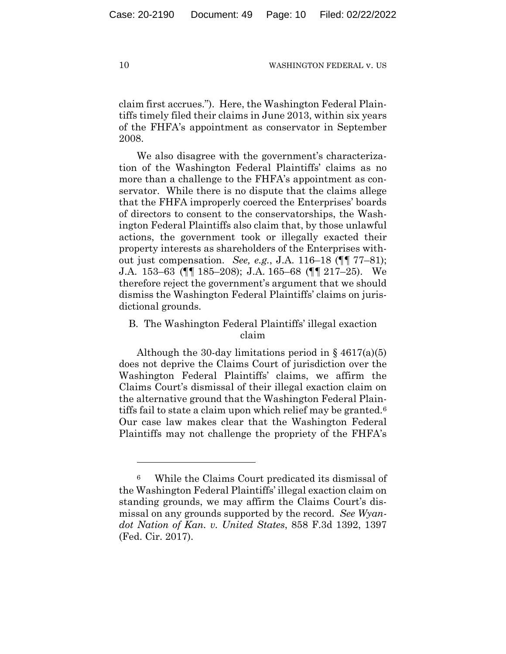claim first accrues."). Here, the Washington Federal Plaintiffs timely filed their claims in June 2013, within six years of the FHFA's appointment as conservator in September 2008.

We also disagree with the government's characterization of the Washington Federal Plaintiffs' claims as no more than a challenge to the FHFA's appointment as conservator. While there is no dispute that the claims allege that the FHFA improperly coerced the Enterprises' boards of directors to consent to the conservatorships, the Washington Federal Plaintiffs also claim that, by those unlawful actions, the government took or illegally exacted their property interests as shareholders of the Enterprises without just compensation. *See, e.g.*, J.A. 116–18 (¶¶ 77–81); J.A. 153–63 (¶¶ 185–208); J.A. 165–68 (¶¶ 217–25). We therefore reject the government's argument that we should dismiss the Washington Federal Plaintiffs' claims on jurisdictional grounds.

# B. The Washington Federal Plaintiffs' illegal exaction claim

Although the 30-day limitations period in  $\S$  4617(a)(5) does not deprive the Claims Court of jurisdiction over the Washington Federal Plaintiffs' claims, we affirm the Claims Court's dismissal of their illegal exaction claim on the alternative ground that the Washington Federal Plaintiffs fail to state a claim upon which relief may be granted.<sup>6</sup> Our case law makes clear that the Washington Federal Plaintiffs may not challenge the propriety of the FHFA's

<sup>6</sup> While the Claims Court predicated its dismissal of the Washington Federal Plaintiffs' illegal exaction claim on standing grounds, we may affirm the Claims Court's dismissal on any grounds supported by the record. *See Wyandot Nation of Kan. v. United States*, 858 F.3d 1392, 1397 (Fed. Cir. 2017).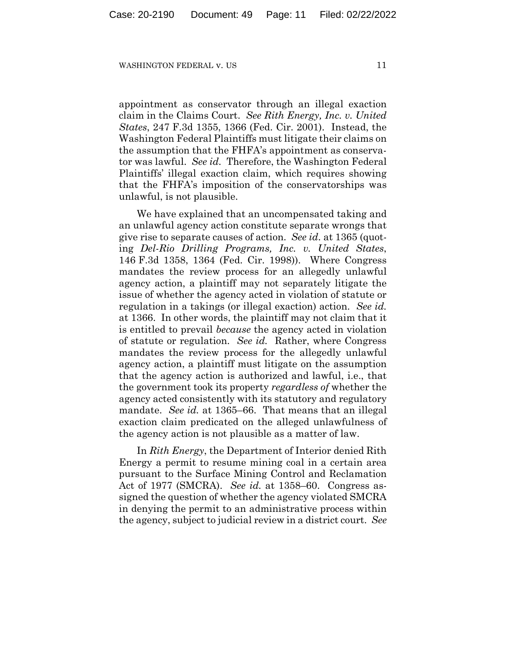appointment as conservator through an illegal exaction claim in the Claims Court. *See Rith Energy, Inc. v. United States*, 247 F.3d 1355, 1366 (Fed. Cir. 2001). Instead, the Washington Federal Plaintiffs must litigate their claims on the assumption that the FHFA's appointment as conservator was lawful. *See id.* Therefore, the Washington Federal Plaintiffs' illegal exaction claim, which requires showing that the FHFA's imposition of the conservatorships was unlawful, is not plausible.

We have explained that an uncompensated taking and an unlawful agency action constitute separate wrongs that give rise to separate causes of action. *See id.* at 1365 (quoting *Del-Rio Drilling Programs, Inc. v. United States*, 146 F.3d 1358, 1364 (Fed. Cir. 1998)). Where Congress mandates the review process for an allegedly unlawful agency action, a plaintiff may not separately litigate the issue of whether the agency acted in violation of statute or regulation in a takings (or illegal exaction) action. *See id.* at 1366. In other words, the plaintiff may not claim that it is entitled to prevail *because* the agency acted in violation of statute or regulation. *See id.* Rather, where Congress mandates the review process for the allegedly unlawful agency action, a plaintiff must litigate on the assumption that the agency action is authorized and lawful, i.e., that the government took its property *regardless of* whether the agency acted consistently with its statutory and regulatory mandate. *See id.* at 1365–66. That means that an illegal exaction claim predicated on the alleged unlawfulness of the agency action is not plausible as a matter of law.

In *Rith Energy*, the Department of Interior denied Rith Energy a permit to resume mining coal in a certain area pursuant to the Surface Mining Control and Reclamation Act of 1977 (SMCRA). *See id.* at 1358–60. Congress assigned the question of whether the agency violated SMCRA in denying the permit to an administrative process within the agency, subject to judicial review in a district court. *See*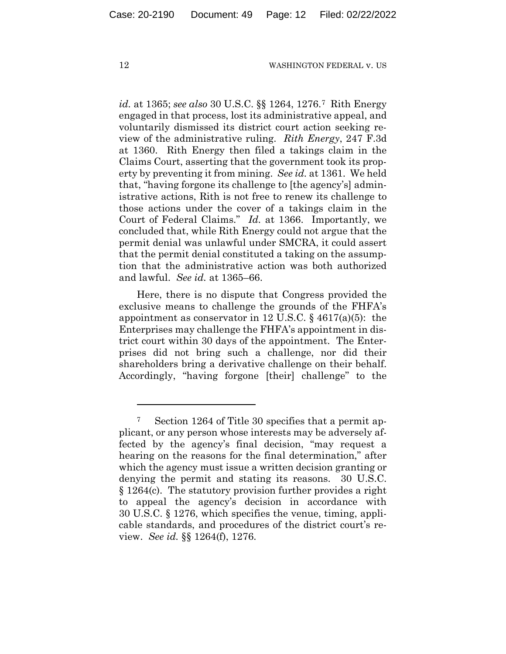*id.* at 1365; *see also* 30 U.S.C. §§ 1264, 1276.7 Rith Energy engaged in that process, lost its administrative appeal, and voluntarily dismissed its district court action seeking review of the administrative ruling. *Rith Energy*, 247 F.3d at 1360. Rith Energy then filed a takings claim in the Claims Court, asserting that the government took its property by preventing it from mining. *See id.* at 1361. We held that, "having forgone its challenge to [the agency's] administrative actions, Rith is not free to renew its challenge to those actions under the cover of a takings claim in the Court of Federal Claims." *Id.* at 1366. Importantly, we concluded that, while Rith Energy could not argue that the permit denial was unlawful under SMCRA, it could assert that the permit denial constituted a taking on the assumption that the administrative action was both authorized and lawful. *See id.* at 1365–66.

Here, there is no dispute that Congress provided the exclusive means to challenge the grounds of the FHFA's appointment as conservator in 12 U.S.C.  $\S$  4617(a)(5): the Enterprises may challenge the FHFA's appointment in district court within 30 days of the appointment. The Enterprises did not bring such a challenge, nor did their shareholders bring a derivative challenge on their behalf. Accordingly, "having forgone [their] challenge" to the

<sup>7</sup> Section 1264 of Title 30 specifies that a permit applicant, or any person whose interests may be adversely affected by the agency's final decision, "may request a hearing on the reasons for the final determination," after which the agency must issue a written decision granting or denying the permit and stating its reasons. 30 U.S.C. § 1264(c). The statutory provision further provides a right to appeal the agency's decision in accordance with 30 U.S.C. § 1276, which specifies the venue, timing, applicable standards, and procedures of the district court's review. *See id.* §§ 1264(f), 1276.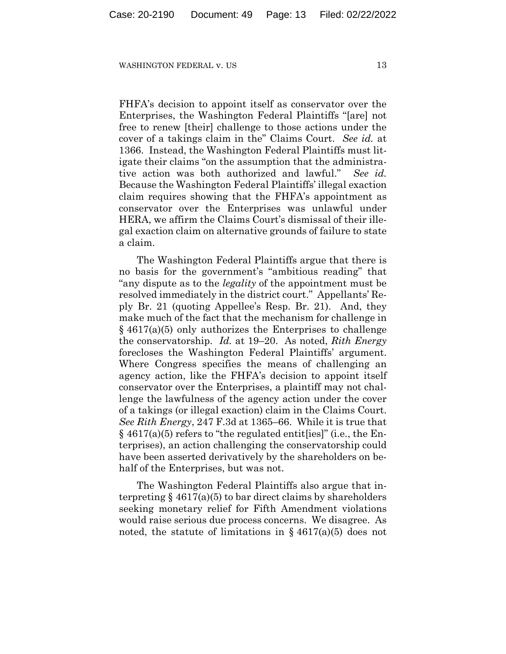FHFA's decision to appoint itself as conservator over the Enterprises, the Washington Federal Plaintiffs "[are] not free to renew [their] challenge to those actions under the cover of a takings claim in the" Claims Court. *See id.* at 1366. Instead, the Washington Federal Plaintiffs must litigate their claims "on the assumption that the administrative action was both authorized and lawful." *See id.* Because the Washington Federal Plaintiffs' illegal exaction claim requires showing that the FHFA's appointment as conservator over the Enterprises was unlawful under HERA, we affirm the Claims Court's dismissal of their illegal exaction claim on alternative grounds of failure to state a claim.

The Washington Federal Plaintiffs argue that there is no basis for the government's "ambitious reading" that "any dispute as to the *legality* of the appointment must be resolved immediately in the district court." Appellants' Reply Br. 21 (quoting Appellee's Resp. Br. 21). And, they make much of the fact that the mechanism for challenge in § 4617(a)(5) only authorizes the Enterprises to challenge the conservatorship. *Id.* at 19–20. As noted, *Rith Energy* forecloses the Washington Federal Plaintiffs' argument. Where Congress specifies the means of challenging an agency action, like the FHFA's decision to appoint itself conservator over the Enterprises, a plaintiff may not challenge the lawfulness of the agency action under the cover of a takings (or illegal exaction) claim in the Claims Court. *See Rith Energy*, 247 F.3d at 1365–66. While it is true that  $\S$  4617(a)(5) refers to "the regulated entit [ies]" (i.e., the Enterprises), an action challenging the conservatorship could have been asserted derivatively by the shareholders on behalf of the Enterprises, but was not.

The Washington Federal Plaintiffs also argue that interpreting  $\S 4617(a)(5)$  to bar direct claims by shareholders seeking monetary relief for Fifth Amendment violations would raise serious due process concerns. We disagree. As noted, the statute of limitations in  $\S$  4617(a)(5) does not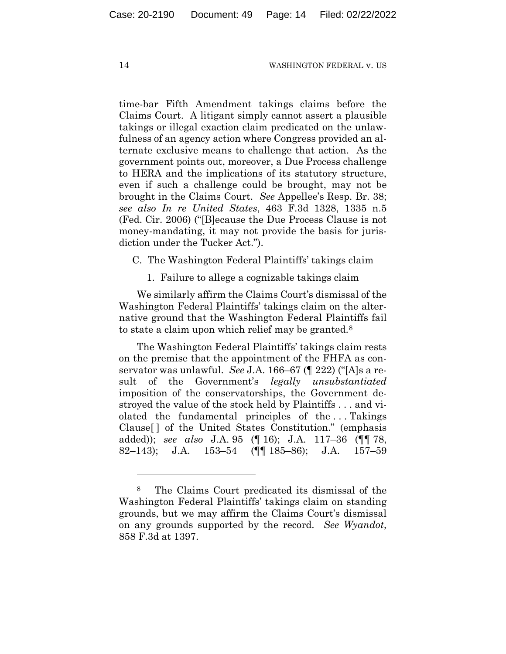time-bar Fifth Amendment takings claims before the Claims Court. A litigant simply cannot assert a plausible takings or illegal exaction claim predicated on the unlawfulness of an agency action where Congress provided an alternate exclusive means to challenge that action. As the government points out, moreover, a Due Process challenge to HERA and the implications of its statutory structure, even if such a challenge could be brought, may not be brought in the Claims Court. *See* Appellee's Resp. Br. 38; *see also In re United States*, 463 F.3d 1328, 1335 n.5 (Fed. Cir. 2006) ("[B]ecause the Due Process Clause is not money-mandating, it may not provide the basis for jurisdiction under the Tucker Act.").

C. The Washington Federal Plaintiffs' takings claim

1. Failure to allege a cognizable takings claim

We similarly affirm the Claims Court's dismissal of the Washington Federal Plaintiffs' takings claim on the alternative ground that the Washington Federal Plaintiffs fail to state a claim upon which relief may be granted.8

The Washington Federal Plaintiffs' takings claim rests on the premise that the appointment of the FHFA as conservator was unlawful. *See* J.A. 166–67 (¶ 222) ("[A]s a result of the Government's *legally unsubstantiated* imposition of the conservatorships, the Government destroyed the value of the stock held by Plaintiffs . . . and violated the fundamental principles of the . . . Takings Clause[ ] of the United States Constitution." (emphasis added)); *see also* J.A. 95 (¶ 16); J.A. 117–36 (¶¶ 78, 82–143); J.A. 153–54 (¶¶ 185–86); J.A. 157–59

<sup>8</sup> The Claims Court predicated its dismissal of the Washington Federal Plaintiffs' takings claim on standing grounds, but we may affirm the Claims Court's dismissal on any grounds supported by the record. *See Wyandot*, 858 F.3d at 1397.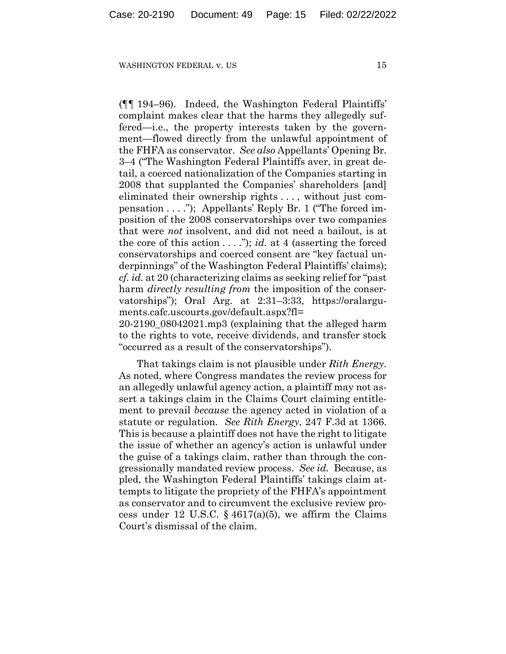(¶¶ 194–96). Indeed, the Washington Federal Plaintiffs' complaint makes clear that the harms they allegedly suffered—i.e., the property interests taken by the government—flowed directly from the unlawful appointment of the FHFA as conservator. *See also* Appellants' Opening Br. 3–4 ("The Washington Federal Plaintiffs aver, in great detail, a coerced nationalization of the Companies starting in 2008 that supplanted the Companies' shareholders [and] eliminated their ownership rights . . . , without just compensation . . . ."); Appellants' Reply Br. 1 ("The forced imposition of the 2008 conservatorships over two companies that were *not* insolvent, and did not need a bailout, is at the core of this action . . . ."); *id.* at 4 (asserting the forced conservatorships and coerced consent are "key factual underpinnings" of the Washington Federal Plaintiffs' claims); *cf. id.* at 20 (characterizing claims as seeking relief for "past harm *directly resulting from* the imposition of the conservatorships"); Oral Arg. at 2:31–3:33, https://oralarguments.cafc.uscourts.gov/default.aspx?fl= 20-2190\_08042021.mp3 (explaining that the alleged harm to the rights to vote, receive dividends, and transfer stock "occurred as a result of the conservatorships").

That takings claim is not plausible under *Rith Energy*. As noted, where Congress mandates the review process for an allegedly unlawful agency action, a plaintiff may not assert a takings claim in the Claims Court claiming entitlement to prevail *because* the agency acted in violation of a statute or regulation. *See Rith Energy*, 247 F.3d at 1366. This is because a plaintiff does not have the right to litigate the issue of whether an agency's action is unlawful under the guise of a takings claim, rather than through the congressionally mandated review process. *See id.* Because, as pled, the Washington Federal Plaintiffs' takings claim attempts to litigate the propriety of the FHFA's appointment as conservator and to circumvent the exclusive review process under 12 U.S.C.  $\S$  4617(a)(5), we affirm the Claims Court's dismissal of the claim.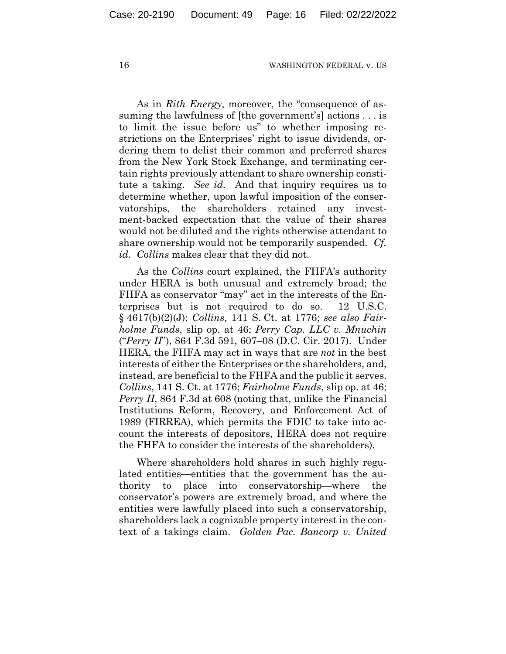As in *Rith Energy*, moreover, the "consequence of assuming the lawfulness of [the government's] actions . . . is to limit the issue before us" to whether imposing restrictions on the Enterprises' right to issue dividends, ordering them to delist their common and preferred shares from the New York Stock Exchange, and terminating certain rights previously attendant to share ownership constitute a taking. *See id.* And that inquiry requires us to determine whether, upon lawful imposition of the conservatorships, the shareholders retained any investment-backed expectation that the value of their shares would not be diluted and the rights otherwise attendant to share ownership would not be temporarily suspended. *Cf. id. Collins* makes clear that they did not.

As the *Collins* court explained, the FHFA's authority under HERA is both unusual and extremely broad; the FHFA as conservator "may" act in the interests of the Enterprises but is not required to do so. 12 U.S.C. § 4617(b)(2)(J); *Collins*, 141 S. Ct. at 1776; *see also Fairholme Funds*, slip op. at 46; *Perry Cap. LLC v. Mnuchin*  ("*Perry II*"), 864 F.3d 591, 607–08 (D.C. Cir. 2017). Under HERA, the FHFA may act in ways that are *not* in the best interests of either the Enterprises or the shareholders, and, instead, are beneficial to the FHFA and the public it serves. *Collins*, 141 S. Ct. at 1776; *Fairholme Funds*, slip op. at 46; *Perry II*, 864 F.3d at 608 (noting that, unlike the Financial Institutions Reform, Recovery, and Enforcement Act of 1989 (FIRREA), which permits the FDIC to take into account the interests of depositors, HERA does not require the FHFA to consider the interests of the shareholders).

Where shareholders hold shares in such highly regulated entities—entities that the government has the authority to place into conservatorship—where the conservator's powers are extremely broad, and where the entities were lawfully placed into such a conservatorship, shareholders lack a cognizable property interest in the context of a takings claim. *Golden Pac. Bancorp v. United*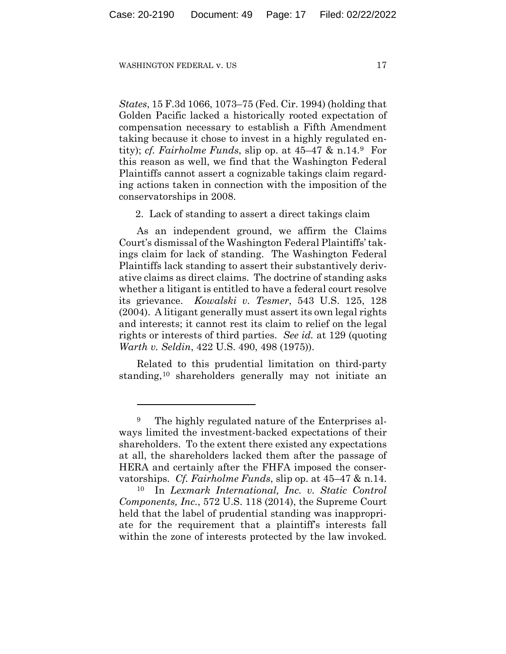*States*, 15 F.3d 1066, 1073–75 (Fed. Cir. 1994) (holding that Golden Pacific lacked a historically rooted expectation of compensation necessary to establish a Fifth Amendment taking because it chose to invest in a highly regulated entity); *cf. Fairholme Funds*, slip op. at 45–47 & n.14.9 For this reason as well, we find that the Washington Federal Plaintiffs cannot assert a cognizable takings claim regarding actions taken in connection with the imposition of the conservatorships in 2008.

2. Lack of standing to assert a direct takings claim

As an independent ground, we affirm the Claims Court's dismissal of the Washington Federal Plaintiffs' takings claim for lack of standing. The Washington Federal Plaintiffs lack standing to assert their substantively derivative claims as direct claims. The doctrine of standing asks whether a litigant is entitled to have a federal court resolve its grievance. *Kowalski v. Tesmer*, 543 U.S. 125, 128 (2004). A litigant generally must assert its own legal rights and interests; it cannot rest its claim to relief on the legal rights or interests of third parties. *See id.* at 129 (quoting *Warth v. Seldin*, 422 U.S. 490, 498 (1975)).

Related to this prudential limitation on third-party standing,10 shareholders generally may not initiate an

<sup>9</sup> The highly regulated nature of the Enterprises always limited the investment-backed expectations of their shareholders. To the extent there existed any expectations at all, the shareholders lacked them after the passage of HERA and certainly after the FHFA imposed the conservatorships. *Cf. Fairholme Funds*, slip op. at 45–47 & n.14. 10 In *Lexmark International, Inc. v. Static Control* 

*Components, Inc.*, 572 U.S. 118 (2014), the Supreme Court held that the label of prudential standing was inappropriate for the requirement that a plaintiff's interests fall within the zone of interests protected by the law invoked.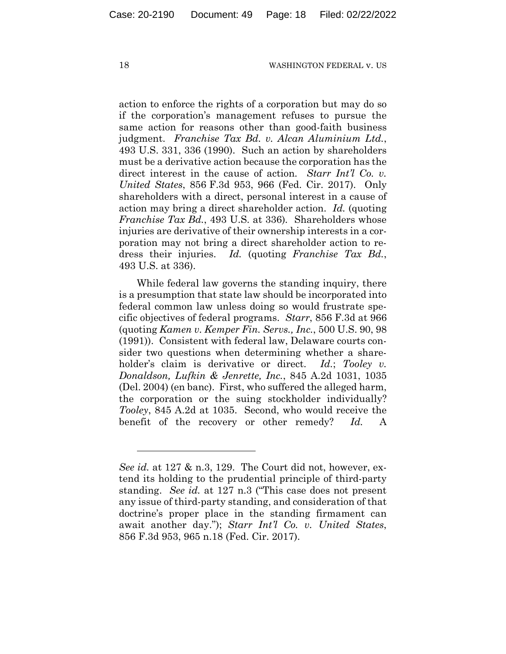action to enforce the rights of a corporation but may do so if the corporation's management refuses to pursue the same action for reasons other than good-faith business judgment. *Franchise Tax Bd. v. Alcan Aluminium Ltd.*, 493 U.S. 331, 336 (1990). Such an action by shareholders must be a derivative action because the corporation has the direct interest in the cause of action. *Starr Int'l Co. v. United States*, 856 F.3d 953, 966 (Fed. Cir. 2017). Only shareholders with a direct, personal interest in a cause of action may bring a direct shareholder action. *Id.* (quoting *Franchise Tax Bd.*, 493 U.S. at 336)*.* Shareholders whose injuries are derivative of their ownership interests in a corporation may not bring a direct shareholder action to redress their injuries. *Id.* (quoting *Franchise Tax Bd.*, 493 U.S. at 336).

While federal law governs the standing inquiry, there is a presumption that state law should be incorporated into federal common law unless doing so would frustrate specific objectives of federal programs. *Starr*, 856 F.3d at 966 (quoting *Kamen v. Kemper Fin. Servs., Inc.*, 500 U.S. 90, 98 (1991)). Consistent with federal law, Delaware courts consider two questions when determining whether a shareholder's claim is derivative or direct. *Id.*; *Tooley v. Donaldson, Lufkin & Jenrette, Inc.*, 845 A.2d 1031, 1035 (Del. 2004) (en banc). First, who suffered the alleged harm, the corporation or the suing stockholder individually? *Tooley*, 845 A.2d at 1035. Second, who would receive the benefit of the recovery or other remedy? *Id.* A

*See id.* at 127 & n.3, 129. The Court did not, however, extend its holding to the prudential principle of third-party standing. *See id.* at 127 n.3 ("This case does not present any issue of third-party standing, and consideration of that doctrine's proper place in the standing firmament can await another day."); *Starr Int'l Co. v. United States*, 856 F.3d 953, 965 n.18 (Fed. Cir. 2017).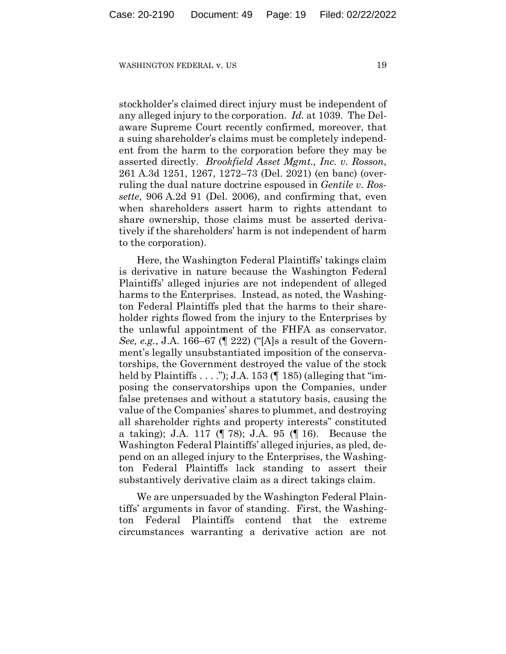stockholder's claimed direct injury must be independent of any alleged injury to the corporation. *Id.* at 1039. The Delaware Supreme Court recently confirmed, moreover, that a suing shareholder's claims must be completely independent from the harm to the corporation before they may be asserted directly. *Brookfield Asset Mgmt., Inc. v. Rosson*, 261 A.3d 1251, 1267, 1272–73 (Del. 2021) (en banc) (overruling the dual nature doctrine espoused in *Gentile v. Rossette*, 906 A.2d 91 (Del. 2006), and confirming that, even when shareholders assert harm to rights attendant to share ownership, those claims must be asserted derivatively if the shareholders' harm is not independent of harm to the corporation).

Here, the Washington Federal Plaintiffs' takings claim is derivative in nature because the Washington Federal Plaintiffs' alleged injuries are not independent of alleged harms to the Enterprises. Instead, as noted, the Washington Federal Plaintiffs pled that the harms to their shareholder rights flowed from the injury to the Enterprises by the unlawful appointment of the FHFA as conservator. *See, e.g.*, J.A. 166–67 (¶ 222) ("[A]s a result of the Government's legally unsubstantiated imposition of the conservatorships, the Government destroyed the value of the stock held by Plaintiffs  $\dots$  ."); J.A. 153 ( $\parallel$  185) (alleging that "imposing the conservatorships upon the Companies, under false pretenses and without a statutory basis, causing the value of the Companies' shares to plummet, and destroying all shareholder rights and property interests" constituted a taking); J.A. 117 (¶ 78); J.A. 95 (¶ 16). Because the Washington Federal Plaintiffs' alleged injuries, as pled, depend on an alleged injury to the Enterprises, the Washington Federal Plaintiffs lack standing to assert their substantively derivative claim as a direct takings claim.

We are unpersuaded by the Washington Federal Plaintiffs' arguments in favor of standing. First, the Washington Federal Plaintiffs contend that the extreme circumstances warranting a derivative action are not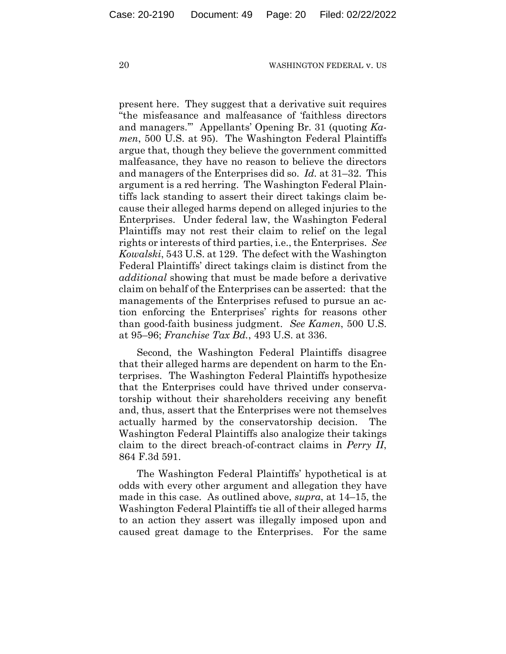present here. They suggest that a derivative suit requires "the misfeasance and malfeasance of 'faithless directors and managers.'" Appellants' Opening Br. 31 (quoting *Kamen*, 500 U.S. at 95). The Washington Federal Plaintiffs argue that, though they believe the government committed malfeasance, they have no reason to believe the directors and managers of the Enterprises did so. *Id.* at 31–32. This argument is a red herring. The Washington Federal Plaintiffs lack standing to assert their direct takings claim because their alleged harms depend on alleged injuries to the Enterprises. Under federal law, the Washington Federal Plaintiffs may not rest their claim to relief on the legal rights or interests of third parties, i.e., the Enterprises. *See Kowalski*, 543 U.S. at 129. The defect with the Washington Federal Plaintiffs' direct takings claim is distinct from the *additional* showing that must be made before a derivative claim on behalf of the Enterprises can be asserted: that the managements of the Enterprises refused to pursue an action enforcing the Enterprises' rights for reasons other than good-faith business judgment. *See Kamen*, 500 U.S. at 95–96; *Franchise Tax Bd.*, 493 U.S. at 336.

Second, the Washington Federal Plaintiffs disagree that their alleged harms are dependent on harm to the Enterprises. The Washington Federal Plaintiffs hypothesize that the Enterprises could have thrived under conservatorship without their shareholders receiving any benefit and, thus, assert that the Enterprises were not themselves actually harmed by the conservatorship decision. The Washington Federal Plaintiffs also analogize their takings claim to the direct breach-of-contract claims in *Perry II*, 864 F.3d 591.

The Washington Federal Plaintiffs' hypothetical is at odds with every other argument and allegation they have made in this case. As outlined above, *supra*, at 14–15, the Washington Federal Plaintiffs tie all of their alleged harms to an action they assert was illegally imposed upon and caused great damage to the Enterprises. For the same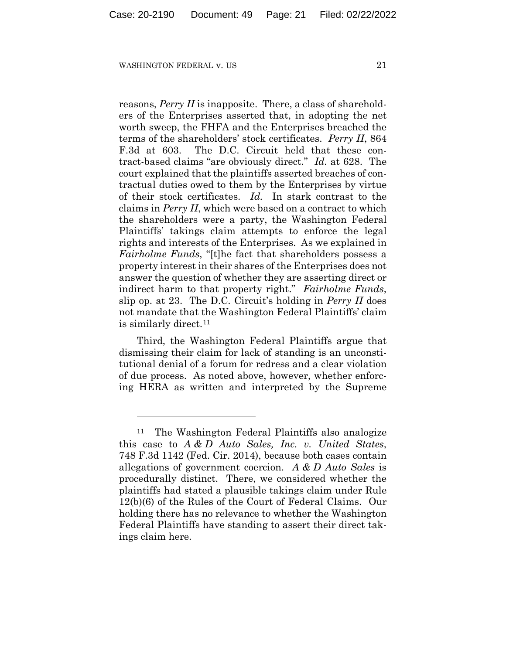reasons, *Perry II* is inapposite. There, a class of shareholders of the Enterprises asserted that, in adopting the net worth sweep, the FHFA and the Enterprises breached the terms of the shareholders' stock certificates. *Perry II*, 864 F.3d at 603. The D.C. Circuit held that these contract-based claims "are obviously direct." *Id.* at 628. The court explained that the plaintiffs asserted breaches of contractual duties owed to them by the Enterprises by virtue of their stock certificates. *Id.* In stark contrast to the claims in *Perry II*, which were based on a contract to which the shareholders were a party, the Washington Federal Plaintiffs' takings claim attempts to enforce the legal rights and interests of the Enterprises. As we explained in *Fairholme Funds*, "[t]he fact that shareholders possess a property interest in their shares of the Enterprises does not answer the question of whether they are asserting direct or indirect harm to that property right." *Fairholme Funds*, slip op. at 23. The D.C. Circuit's holding in *Perry II* does not mandate that the Washington Federal Plaintiffs' claim is similarly direct.<sup>11</sup>

Third, the Washington Federal Plaintiffs argue that dismissing their claim for lack of standing is an unconstitutional denial of a forum for redress and a clear violation of due process. As noted above, however, whether enforcing HERA as written and interpreted by the Supreme

The Washington Federal Plaintiffs also analogize this case to *A & D Auto Sales, Inc. v. United States*, 748 F.3d 1142 (Fed. Cir. 2014), because both cases contain allegations of government coercion. *A & D Auto Sales* is procedurally distinct. There, we considered whether the plaintiffs had stated a plausible takings claim under Rule 12(b)(6) of the Rules of the Court of Federal Claims. Our holding there has no relevance to whether the Washington Federal Plaintiffs have standing to assert their direct takings claim here.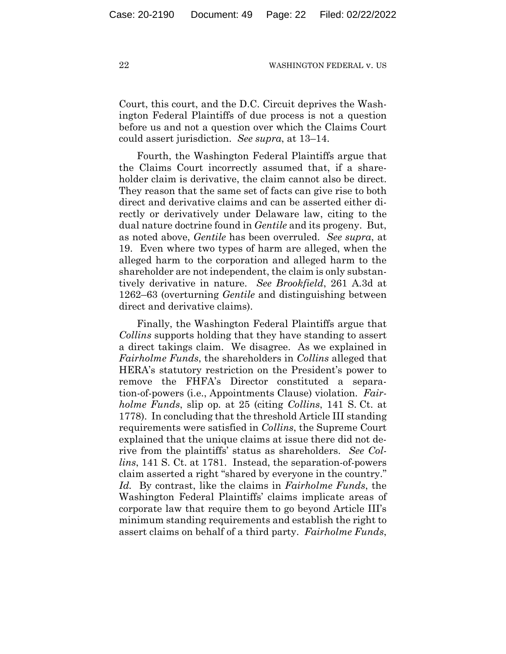Court, this court, and the D.C. Circuit deprives the Washington Federal Plaintiffs of due process is not a question before us and not a question over which the Claims Court could assert jurisdiction. *See supra*, at 13–14.

Fourth, the Washington Federal Plaintiffs argue that the Claims Court incorrectly assumed that, if a shareholder claim is derivative, the claim cannot also be direct. They reason that the same set of facts can give rise to both direct and derivative claims and can be asserted either directly or derivatively under Delaware law, citing to the dual nature doctrine found in *Gentile* and its progeny. But, as noted above, *Gentile* has been overruled. *See supra*, at 19. Even where two types of harm are alleged, when the alleged harm to the corporation and alleged harm to the shareholder are not independent, the claim is only substantively derivative in nature. *See Brookfield*, 261 A.3d at 1262–63 (overturning *Gentile* and distinguishing between direct and derivative claims).

Finally, the Washington Federal Plaintiffs argue that *Collins* supports holding that they have standing to assert a direct takings claim. We disagree. As we explained in *Fairholme Funds*, the shareholders in *Collins* alleged that HERA's statutory restriction on the President's power to remove the FHFA's Director constituted a separation-of-powers (i.e., Appointments Clause) violation. *Fairholme Funds*, slip op. at 25 (citing *Collins*, 141 S. Ct. at 1778). In concluding that the threshold Article III standing requirements were satisfied in *Collins*, the Supreme Court explained that the unique claims at issue there did not derive from the plaintiffs' status as shareholders. *See Collins*, 141 S. Ct. at 1781. Instead, the separation-of-powers claim asserted a right "shared by everyone in the country." *Id.* By contrast, like the claims in *Fairholme Funds*, the Washington Federal Plaintiffs' claims implicate areas of corporate law that require them to go beyond Article III's minimum standing requirements and establish the right to assert claims on behalf of a third party. *Fairholme Funds*,